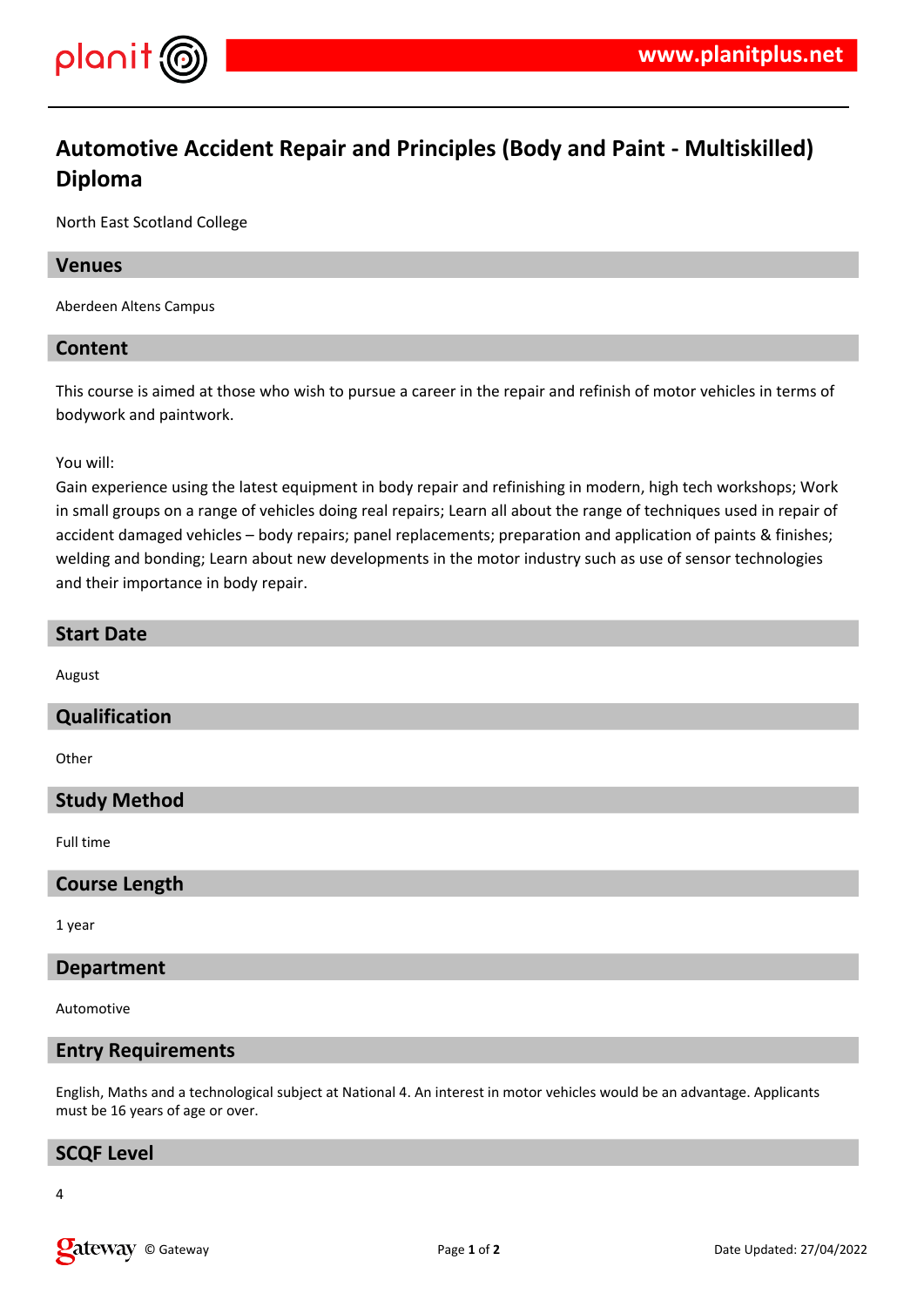

# **Automotive Accident Repair and Principles (Body and Paint - Multiskilled) Diploma**

North East Scotland College

#### **Venues**

Aberdeen Altens Campus

## **Content**

This course is aimed at those who wish to pursue a career in the repair and refinish of motor vehicles in terms of bodywork and paintwork.

You will:

Gain experience using the latest equipment in body repair and refinishing in modern, high tech workshops; Work in small groups on a range of vehicles doing real repairs; Learn all about the range of techniques used in repair of accident damaged vehicles – body repairs; panel replacements; preparation and application of paints & finishes; welding and bonding; Learn about new developments in the motor industry such as use of sensor technologies and their importance in body repair.

#### **Start Date**

August

## **Qualification**

**Other** 

## **Study Method**

Full time

## **Course Length**

1 year

## **Department**

Automotive

## **Entry Requirements**

English, Maths and a technological subject at National 4. An interest in motor vehicles would be an advantage. Applicants must be 16 years of age or over.

## **SCQF Level**

4